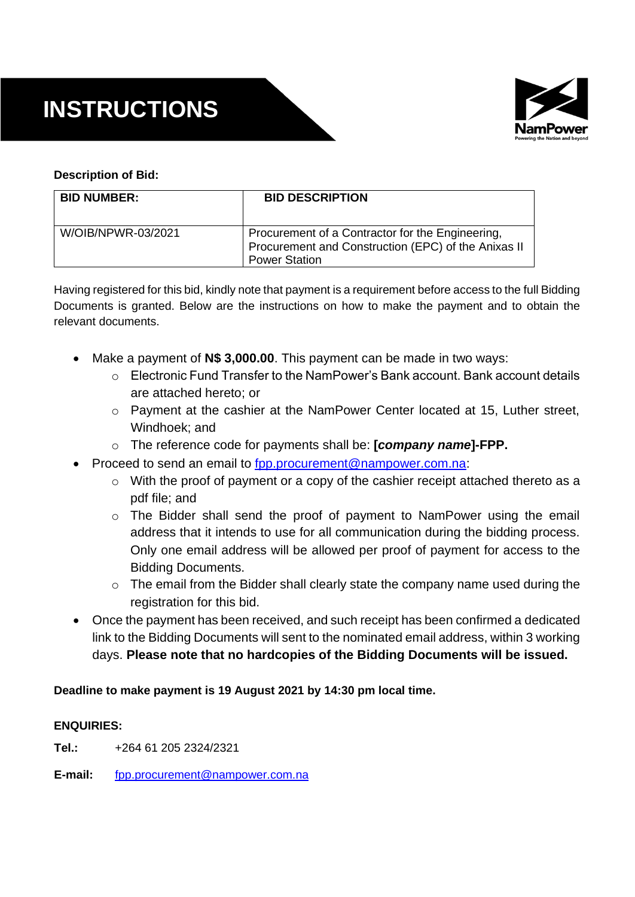# **INSTRUCTIONS**



# **Description of Bid:**

| <b>BID NUMBER:</b> | <b>BID DESCRIPTION</b>                                                                                                          |
|--------------------|---------------------------------------------------------------------------------------------------------------------------------|
| W/OIB/NPWR-03/2021 | Procurement of a Contractor for the Engineering,<br>Procurement and Construction (EPC) of the Anixas II<br><b>Power Station</b> |

Having registered for this bid, kindly note that payment is a requirement before access to the full Bidding Documents is granted. Below are the instructions on how to make the payment and to obtain the relevant documents.

- Make a payment of **N\$ 3,000.00**. This payment can be made in two ways:
	- $\circ$  Electronic Fund Transfer to the NamPower's Bank account. Bank account details are attached hereto; or
	- o Payment at the cashier at the NamPower Center located at 15, Luther street, Windhoek; and
	- o The reference code for payments shall be: **[***company name***]-FPP.**
- Proceed to send an email to [fpp.procurement@nampower.com.na:](mailto:fpp.procurement@nampower.com.na)
	- $\circ$  With the proof of payment or a copy of the cashier receipt attached thereto as a pdf file; and
	- o The Bidder shall send the proof of payment to NamPower using the email address that it intends to use for all communication during the bidding process. Only one email address will be allowed per proof of payment for access to the Bidding Documents.
	- o The email from the Bidder shall clearly state the company name used during the registration for this bid.
- Once the payment has been received, and such receipt has been confirmed a dedicated link to the Bidding Documents will sent to the nominated email address, within 3 working days. **Please note that no hardcopies of the Bidding Documents will be issued.**

## **Deadline to make payment is 19 August 2021 by 14:30 pm local time.**

## **ENQUIRIES:**

**Tel.:** +264 61 205 2324/2321

**E-mail:** [fpp.procurement@nampower.com.na](mailto:fpp.procurement@nampower.com.na)